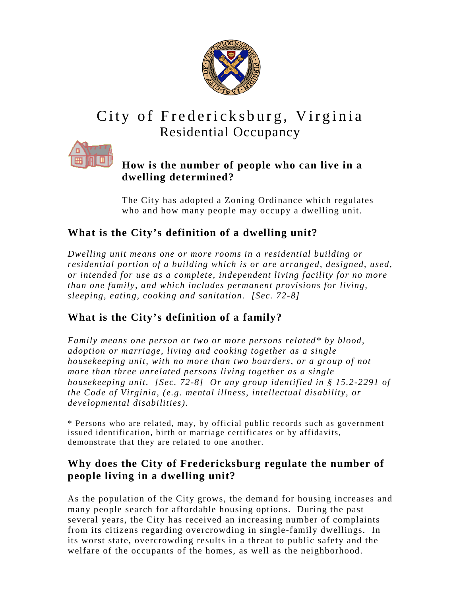

# City of Fredericksburg, Virginia Residential Occupancy



### **How is the number of people who can live in a dwelling determined?**

The City has adopted a Zoning Ordinance which regulates who and how many people may occupy a dwelling unit.

## **What is the City's definition of a dwelling unit?**

*Dwelling unit means one or more rooms in a residential building or residential portion of a building which is or are arranged, designed, used, or intended for use as a complete, independent living facility for no more than one family, and which includes permanent provisions for living, sleeping, eating, cooking and sanitation. [Sec. 72-8]* 

## **What is the City's definition of a family?**

*Family means one person or two or more persons related\* by blood, adoption or marriage, living and cooking together as a single housekeeping unit, with no more than two boarders, or a group of not more than three unrelated persons living together as a single housekeeping unit. [Sec. 72-8] Or any group identified in § 15.2-2291 of the Code of Virginia, (e.g. mental illness, intellectual disability, or developmental disabilities).* 

\* Persons who are related, may, by official public records such as government issued identification, birth or marriage certificates or by affidavits, demonstrate that they are related to one another.

### **Why does the City of Fredericksburg regulate the number of people living in a dwelling unit?**

As the population of the City grows, the demand for housing increases and many people search for affordable housing options. During the past several years, the City has received an increasing number of complaints from its citizens regarding overcrowding in single-family dwellings. In its worst state, overcrowding results in a threat to public safety and the welfare of the occupants of the homes, as well as the neighborhood.